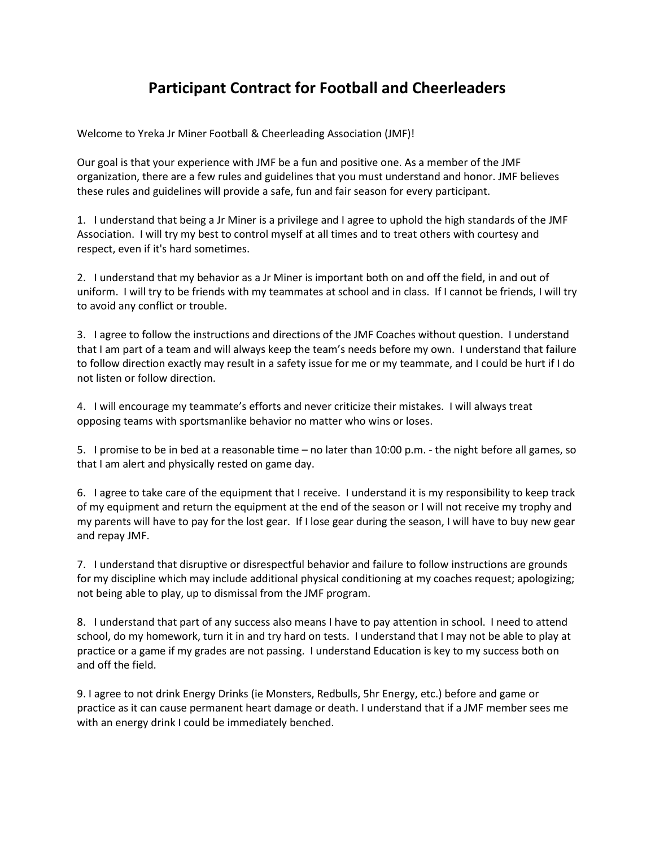## **Participant Contract for Football and Cheerleaders**

Welcome to Yreka Jr Miner Football & Cheerleading Association (JMF)!

Our goal is that your experience with JMF be a fun and positive one. As a member of the JMF organization, there are a few rules and guidelines that you must understand and honor. JMF believes these rules and guidelines will provide a safe, fun and fair season for every participant.

1. I understand that being a Jr Miner is a privilege and I agree to uphold the high standards of the JMF Association. I will try my best to control myself at all times and to treat others with courtesy and respect, even if it's hard sometimes.

2. I understand that my behavior as a Jr Miner is important both on and off the field, in and out of uniform. I will try to be friends with my teammates at school and in class. If I cannot be friends, I will try to avoid any conflict or trouble.

3. I agree to follow the instructions and directions of the JMF Coaches without question. I understand that I am part of a team and will always keep the team's needs before my own. I understand that failure to follow direction exactly may result in a safety issue for me or my teammate, and I could be hurt if I do not listen or follow direction.

4. I will encourage my teammate's efforts and never criticize their mistakes. I will always treat opposing teams with sportsmanlike behavior no matter who wins or loses.

5. I promise to be in bed at a reasonable time – no later than 10:00 p.m. - the night before all games, so that I am alert and physically rested on game day.

6. I agree to take care of the equipment that I receive. I understand it is my responsibility to keep track of my equipment and return the equipment at the end of the season or I will not receive my trophy and my parents will have to pay for the lost gear. If I lose gear during the season, I will have to buy new gear and repay JMF.

7. I understand that disruptive or disrespectful behavior and failure to follow instructions are grounds for my discipline which may include additional physical conditioning at my coaches request; apologizing; not being able to play, up to dismissal from the JMF program.

8. I understand that part of any success also means I have to pay attention in school. I need to attend school, do my homework, turn it in and try hard on tests. I understand that I may not be able to play at practice or a game if my grades are not passing. I understand Education is key to my success both on and off the field.

9. I agree to not drink Energy Drinks (ie Monsters, Redbulls, 5hr Energy, etc.) before and game or practice as it can cause permanent heart damage or death. I understand that if a JMF member sees me with an energy drink I could be immediately benched.